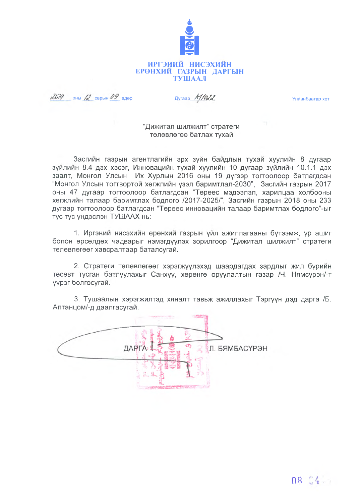

 $2079$  OHbi  $12$  Capbin 09 egep

Ayraap M/Odd

Улаанбаатар хот

### "Дижитал шилжилт" стратеги төлөвлөгөө батлах тухай

Засгийн газрын агентлагийн эрх зүйн байдлын тухай хуулийн 8 дугаар зүйлийн 8.4 дэх хэсэг, Инновацийн тухай хуулийн 10 дугаар зүйлийн 10.1.1 дэх заалт, Монгол Улсын Их Хурлын 2016 оны 19 дүгээр тогтоолоор батлагдсан "Монгол Улсын тогтвортой хөгжлийн үзэл баримтлал-2030", Засгийн газрын 2017 оны 47 дугаар тогтоолоор батлагдсан "Төрөөс мэдээлэл, харилцаа холбооны хөгжлийн талаар баримтлах бодлого /2017-2025/", Засгийн газрын 2018 оны 233 дугаар тогтоолоор батлагдсан "Төрөөс инновацийн талаар баримтлах бодлого"-ыг тус тус үндэслэн ТУШААХ нь:

1. Иргэний нисэхийн ерөнхий газрын үйл ажиллагааны бүтээмж, үр ашиг болон өрсөлдөх чадварыг нэмэгдүүлэх зорилгоор "Дижитал шилжилт" стратеги төлөвлөгөөг хавсралтаар баталсугай.

2. Стратеги төлөвлөгөөг хэрэгжүүлэхэд шаардагдах зардлыг жил бүрийн төсөвт тусган батлуулахыг Санхүү, хөрөнгө оруулалтын газар /Ч. Нямсурэн/-т үүрэг болгосугай.

3. Тушаалын хэрэгжилтэд хяналт тавьж ажиллахыг Тэргүүн дэд дарга /Б. Алтанцом/-д даалгасугай.

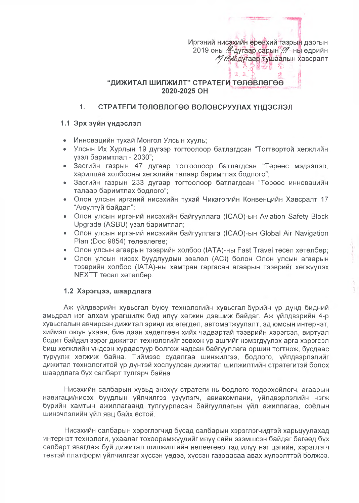Иргэний нисэхийн ерөнхий газрын даргын 2019 оны Каугаар сарын . ... ны өдрийн А/ 10-26 дугаар тушаалын хавсралт  $\zeta_2$  :

Cf.

## "ДИЖИТАЛ ШИЛЖИЛТ" СТРАТЕГИ ТӨЛӨВЛӨГӨӨ 2020-2025 OH

#### $1.$ СТРАТЕГИ ТӨЛӨВЛӨГӨӨ ВОЛОВСРУУЛАХ ҮНДЭСЛЭЛ

#### 1.1 Эрх зүйн үндэслэл

- Инновацийн тухай Монгол Улсын хууль;
- Улсын Их Хурлын 19 дүгээр тогтоолоор батлагдсан "Тогтвортой хөгжлийн үзэл баримтлал - 2030";
- Засгийн газрын 47 дугаар тогтоолоор батлагдсан "Төрөөс мэдээлэл, харилцаа холбооны хөгжлийн талаар баримтлах бодлого";
- Засгийн газрын 233 дугаар тогтоолоор батлагдсан "Төрөөс инновацийн талаар баримтлах бодлого";
- Олон улсын иргэний нисэхийн тухай Чикагогийн Конвенцийн Хавсралт 17 "Аюулгүй байдал";
- Олон улсын иргэний нисэхийн байгууллага (ICAO)-ын Aviation Safety Block Upgrade (ASBU) узэл баримтлал;
- Олон улсын иргэний нисэхийн байгууллага (ICAO)-ын Global Air Navigation Plan (Doc 9854) төлөвлөгөө;
- Олон улсын агаарын тээврийн холбоо (IATA)-ны Fast Travel төсөл хөтөлбөр;
- Олон улсын нисэх буудлуудын зөвлөл (ACI) болон Олон улсын агаарын тээврийн холбоо (IATA)-ны хамтран гаргасан агаарын тээврийг хөгжүүлэх NEXTT төсөл хөтөлбөр.

#### 1.2 Хэрэгцээ, шаардлага

Аж үйлдвэрийн хувьсгал буюу технологийн хувьсгал бүрийн үр дүнд бидний амьдрал нэг алхам урагшилж бид илүү хөгжин дэвшиж байдаг. Аж үйлдвэрийн 4-р хувьсгалын авчирсан дижитал эринд их өгөгдөл, автоматжүулалт, эд юмсын интернэт, хиймэл оюун ухаан, бие даан хөдөлгөөн хийх чадвартай тээврийн хэрэгсэл, виртуал бодит байдал зэрэг дижитал технологийг зөвхөн үр ашгийг нэмэгдүүлэх арга хэрэгсэл биш хөгжлийн үндсэн хүрдасгуур болгож чадсан байгууллага оршин тогтнож, бусдаас түрүүлж хөгжиж байна. Тиймээс судалгаа шинжилгээ, бодлого, үйлдвэрлэлийг дижитал төхнологитой үр дүнтэй хослуулсан дижитал шилжилтийн стратегитэй болох шаардлага бүх салбарт тулгарч байна.

Нисэхийн салбарын хувьд энэхүү стратеги нь бодлого тодорхойлогч, агаарын навигаци/нисэх буудлын үйлчилгээ үзүүлэгч, авиакомпани, үйлдвэрлэлийн нэгж бүрийн хамтын ажиллагаанд тулгуурласан байгууллагын үйл ажиллагаа, соёлын шинэчлэлийн үйл явц байх ёстой.

Нисэхийн салбарын хэрэглэгчид бусад салбарын хэрэглэгчидтэй харьцуулахад интернэт технологи, ухаалаг төхөөрөмжүүдийг илүү сайн эзэмшсэн байдаг бөгөөд бүх салбарт явагдаж буй дижитал шилжилтийн нөлөөгөөр тэд илүү нэг цэгийн, хэрэглэгч төвтэй платформ үйлчилгээг хүссэн үөдээ, хүссэн газраасаа авах хүлээлттэй болжээ.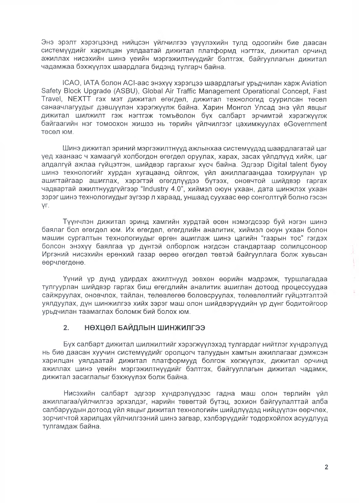Энэ эрэлт хэрэгцээнд нийцсэн үйлчилгээ үзүүлэхийн тулд одоогийн бие даасан системүүдийг харилцан уялдаатай дижитал платформд нэгтгэх, дижитал орчинд ажиллах нисэхийн шинэ үеийн мэргэжилтнүүдийг бэлтгэх, байгууллагын дижитал чадамжаа бэхжүүлэх шаардлага бидэнд тулгарч байна.

ICAO, IATA болон ACI-аас энэхүү хэрэгцээ шаардлагыг үрьдчилан харж Aviation Safety Block Upgrade (ASBU), Global Air Traffic Management Operational Concept, Fast Travel, NEXTT гэх мэт дижитал өгөгдөл, дижитал технологид суурилсан төсөл санаачлагуудыг дэвшүүлэн хэрэгжүүлж байна. Харин Монгол Улсад энэ үйл явцыг дижитал шилжилт гэж нэгтгэж томъёолон бүх салбарт эрчимтэй хэрэгжүүлж байгаагийн нэг томоохон жишээ нь төрийн үйлчилгээг цахимжүүлах eGovernment тесел юм.

Шинэ дижитал эриний мэргэжилтнүүд ажлынхаа системүүдэд шаардлагатай цаг үед хаанаас ч хамаагүй холбогдон өгөгдөл оруулах, харах, засах үйлдлүүд хийж, цаг алдалгүй ажлаа гүйцэтгэн, шийдвэр гаргахыг хүсч байна. Эдгээр Digital talent буюу шинэ технологийг хурдан хугацаанд ойлгож, үйл ажиллагаандаа тохируулан үр ашигтайгаар ашиглах, хэрэгтэй өгөгдлүүдээ бүтээх, оновчтой шийдвэр гаргах чадвартай ажилтнуудгүйгээр "Industry 4.0", хиймэл оюун ухаан, дата шинжлэх ухаан зэрэг шинэ технологиудыг зүгээр л хараад, уншаад суухаас өөр сонголтгүй болно гэсэн YГ.

Түүнчлэн дижитал эринд хамгийн хурдтай өсөн нэмэгдсээр буй нэгэн шинэ баялаг бол өгөгдөл юм. Их өгөгдөл, өгөгдлийн аналитик, хиймэл оюун ухаан болон машин сургалтын технологиудыг өргөн ашиглаж шинэ цагийн "газрын тос" гэгдэх болсон энэхүү баялгаа үр дүнтэй олборлож нэгдсэн стандартаар солилцсоноор Иргэний нисэхийн ерөнхий газар өөрөө өгөгдөл төвтэй байгууллага болж хувьсан өөрчлөгдөнө.

Үүний үр дүнд удирдах ажилтнууд зөвхөн өөрийн мэдрэмж, туршлагадаа тулгуурлан шийдвэр гаргах биш өгөгдлийн аналитик ашиглан дотоод процессуудаа сайжруулах, оновчлох, тайлан, төлөвлөгөө боловсруулах, төлөвлөлтийг гүйцэтгэлтэй уялдуулах, дүн шинжилгээ хийх зэрэг маш олон шийдвэрүүдийн үр дүнг бодитойгоор урьдчилан таамаглах боломж бий болох юм.

#### НӨХЦӨЛ БАЙДЛЫН ШИНЖИЛГЭЭ  $2.$

Бүх салбарт дижитал шилжилтийг хэрэгжүүлэхэд тулгардаг нийтлэг хүндрэлүүд нь биө даасан хуучин системүүдийг оролцогч талуудын хамтын ажиллагааг дэмжсэн харилцан уялдаатай дижитал платформууд болгож хөгжүүлэх, дижитал орчинд ажиллах шинэ үеийн мэргэжилтнүүдийг бэлтгэх, байгууллагын дижитал чадамж, дижитал засаглалыг бэхжүүлэх болж байна.

Нисэхийн салбарт эдгээр хүндрэлүүдээс гадна маш олон төрлийн үйл ажиллагаа/үйлчилгээ эрхэлдэг, нарийн төвөгтэй бүтэц, зохион байгуулалттай алба салбаруудын дотоод уйл явцыг дижитал технологийн шийдлуудэд нийцуулэн өөрчлөх, зорчигчтой харилцах үйлчилгээний шинэ загвар, хэлбэрүүдийг тодорхойлох асуудлууд тулгамдаж байна.

 $\frac{1}{2} \left( \frac{1}{2} \right) \left( \frac{1}{2} \right) \left( \frac{1}{2} \right)$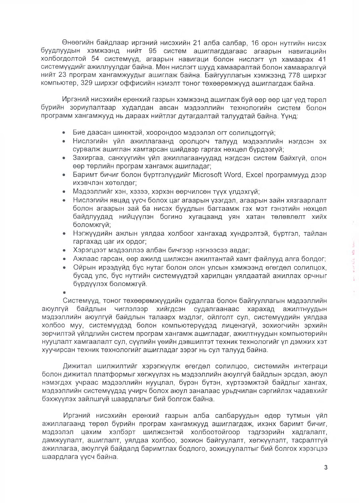Өнөөгийн байдлаар иргэний нисэхийн 21 алба салбар, 16 орон нутгийн нисэх буудлуудын хэмжээнд нийт 95 систем ашиглагддагаас агаарын навигацийн холбогдолтой 54 системүүд, агаарын навигаци болон нислэгт үл хамаарах 41 системүүдийг ажиллуулдаг байна. Мөн нислэгт шууд хамааралтай болон хамааралгүй нийт 23 програм хангамжуудыг ашиглаж байна. Байгууллагын хэмжээнд 778 ширхэг компьютер, 329 ширхэг оффисийн нэмэлт тоног төхөөрөмжүүд ашиглагдаж байна.

Иргэний нисэхийн ерөнхий газрын хэмжээнд ашиглаж буй өөр өөр цаг үед төрөл бүрийн зориулалтаар худалдан авсан мэдээллийн технологийн систем болон программ хангамжууд нь дараах нийтлэг дутагдалтай талуудтай байна. Үүнд:

- Бие даасан шинжтэй, хоорондоо мэдээлэл огт солилцдоггүй;
- Нислэгийн үйл ажиллагаанд оролцогч талууд мэдээллийн нэгдсэн эх сурвалж ашиглан хамтарсан шийдвэр гаргах нөхцөл бүрдээгүй;
- Захиргаа, санхүүгийн үйл ажиллагаануудад нэгдсэн систем байхгүй, олон өөр төрлийн програм хангамж ашигладаг;
- Баримт бичиг болон бүртгэлүүдийг Microsoft Word, Excel программууд дээр ихэвчлэн хөтөлдөг;
- Мэдээллийг хэн, хэзээ, хэрхэн өөрчилсөн түүх үлдэхгүй;
- Нислэгийн явцад үүсч болох цаг агаарын үзэгдэл, агаарын зайн хязгаарлалт болон агаарын зай ба нисэх буудлын багтаамж гэх мэт гэнэтийн нөхцөл байдлуудад нийцүүлэн богино хугацаанд уян хатан төлөвлөлт хийх боломжгүй;
- Нэгжүүдийн ажлын уялдаа холбоог хангахад хүндрэлтэй, бүртгэл, тайлан гаргахад цаг их ордог;
- Хэрэгцээт мэдээллээ албан бичгээр нэгнээсээ авдаг;
- Ажлаас гарсан, өөр ажилд шилжсэн ажилтантай хамт файлууд алга болдог;
- Ойрын ирээдүйд бүс нутаг болон олон улсын хэмжээнд өгөгдөл солилцох, бусад улс, бүс нутгийн системүүдтэй харилцан уялдаатай ажиллах орчныг бүрдүүлэх боломжгүй.

Системүүд, тоног төхөөрөмжүүдийн судалгаа болон байгууллагын мэдээллийн аюулгүй байдлын чиглэлээр хийгдсэн судалгаанаас харахад ажилтнуудын мэдээллийн аюулгүй байдлын талаарх мэдлэг, ойлголт сул, системүүдийн уялдаа холбоо муу, системүүдэд болон компьютерүүдэд лицензгүй, зохиогчийн эрхийн зөрчилтэй үйлдлийн систем програм хангамж ашигладаг, ажилтнуудын компьютөрийн нууцлалт хамгаалалт сул, сүүлийн үөийн дэвшилтэт техник технологийг үл дэмжих хэт хуучирсан техник төхнологийг ашигладаг зэрэг нь сул талууд байна.

Дижитал шилжилтийг хэрэгжүүлж өгөгдөл солилцоо, системийн интеграци болон дижитал платформыг хөгжүүлэх нь мэдээллийн аюулгүй байдлын эрсдэл, аюул нэмэгдэх учраас мэдээллийн нууцлал, бүрэн бүтэн, хүртээмжтэй байдлыг хангах, мэдээллийн системүүдэд үчирч болох аюул заналаас урьдчилан сэргийлэх чадавхийг бэхжүүлэх зайлшгүй шаардлагыг бий болгож байна.

Иргэний нисэхийн ерөнхий газрын алба салбаруудын өдөр тутмын үйл ажиллагаанд төрөл бүрийн програм хангамжууд ашиглагдаж, ихэнх баримт бичиг, мэдээлэл цахим хэлбэрт шилжсэнтэй холбоотойгоор тэдгээрийн хадгалалт, дамжуулалт, ашиглалт, уялдаа холбоо, зохион байгуулалт, хөгжүүлэлт, тасралтгүй ажиллагаа, аюулгүй байдалд баримтлах бодлого, зохицуулалтыг бий болгох хэрэгцээ шаардлага үүсч байна.

 $\rangle$ 

 $\alpha\alpha$  worthin an and

ç,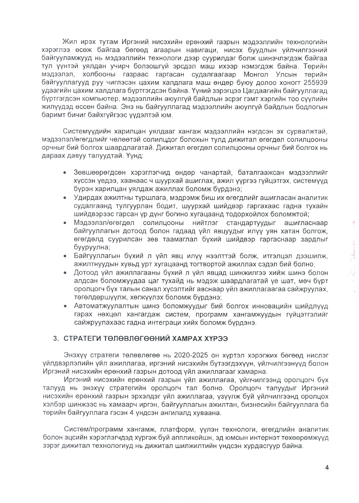Жил ирэх тутам Иргэний нисэхийн ерөнхий газрын мэдээллийн технологийн хэрэглээ өсөж байгаа бөгөөд агаарын навигаци, нисэх буудлын үйлчилгээний байгууламжууд нь мэдээллийн технологи дээр суурилдаг болж шинэчлэгдэж байгаа тул үүнтэй уялдан учирч болзошгүй эрсдэл маш ихээр нэмэгдэж байна. Төрийн мэдээлэл, холбооны газраас гаргасан судалгаагаар Монгол Улсын төрийн байгууллагууд руу чиглэсэн цахим халдлага маш өндөр буюу долоо хоногт 255939 удаагийн цахим халдлага бүртгэгдсэн байна. Үүний зэрэгцээ Цагдаагийн байгууллагад бүртгэгдсэн компьютер, мэдээллийн аюулгүй байдлын эсрэг гэмт хэргийн тоо сүүлийн жилүүдэд өссөн байна. Энэ нь байгууллагад мэдээллийн аюулгүй байдлын бодлогын баримт бичиг байхгүйгээс үүдэлтэй юм.

Системүүдийн харилцан уялдааг хангаж мэдээллийн нэгдсэн эх сурвалжтай, мэдээлэл/өгөгдлийг чөлөөтэй солилцдог болохын тулд дижитал өгөгдөл солилцооны орчныг бий болгох шаардлагатай. Дижитал өгөгдөл солилцооны орчныг бий болгох нь дараах давуу талуудтай. Үүнд:

- Зөвшөөрөгдсөн хэрэглэгчид өндөр чанартай, баталгаажсан мэдээллийг хүссэн үедээ, хаанаас ч шуурхай ашиглах, ажил үүргээ гүйцэтгэх, системүүд бурэн харилцан уялдаж ажиллах боломж бурдэнэ;
- Удирдах ажилтны туршлага, мэдрэмж биш их өгөгдлийг ашигласан аналитик судалгаанд тулгуурлан бодит, шуурхай шийдвэр гаргахаас гадна тухайн шийдвэрээс гарсан үр дүнг богино хүгацаанд тодорхойлох боломжтой;
- Мэдээлэл/өгөгдөл солилцооны нийтлэг стандартуудыг ашигласнаар байгууллагын дотоод болон гадаад үйл явцуудыг илүү уян хатан болгож, өгөгдөлд суурилсан зөв таамаглал бүхий шийдвэр гаргаснаар зардлыг бууруулна;
- Байгууллагын бүхий л үйл явц илүү нээлттэй болж, итгэлцэл дээшилж, ажилтнуудын хувьд урт хугацаанд тогтвортой ажиллах сэдэл бий болно;
- Дотоод үйл ажиллагааны бүхий л үйл явцад шинжилгээ хийж шинэ болон алдсан боломжуудаа цаг тухайд нь мэдэж шаардлагатай үе шат, мөч бүрт оролцогч бүх талын санал хүсэлтийг авснаар үйл ажиллагаагаа сайжруулах, төгөлдөршүүлж, хөгжүүлэх боломж бүрдэнэ;
- Автоматжуулалтын шинэ боломжуудыг бий болгох инновацийн шийдлүүд гарах нөхцөл хангагдаж систем, программ хангамжүүдын гүйцэтгэлийг сайжруулахаас гадна интеграци хийх боломж бүрдэнэ.

## 3. СТРАТЕГИ ТӨЛӨВЛӨГӨӨНИЙ ХАМРАХ ХҮРЭЭ

Энэхүү стратеги төлөвлөгөө нь 2020-2025 он хүртэл хэрэгжих бөгөөд нислэг үйлдвэрлэлийн үйл ажиллагаа, иргэний нисэхийн бүтээгдэхүүн, үйлчилгээнүүд болон Иргэний нисэхийн ерөнхий газрын дотоод үйл ажиллагааг хамарна.

Иргэний нисэхийн ерөнхий газрын үйл ажиллагаа, үйлчилгээнд оролцогч бүх талууд нь энэхүү стратегийн оролцогч тал болно. Оролцогч талуудыг Иргэний нисэхийн ерөнхий газрын эрхэлдэг үйл ажиллагаа, үзүүлж буй үйлчилгээнд оролцох хэлбэр шинжээс нь хамаарч иргэн, байгууллагын ажилтан, бизнесийн байгууллага ба төрийн байгууллага гэсэн 4 үндсэн ангилалд хуваана.

Систем/программ хангамж, платформ, үүлэн төхнологи, өгөгдлийн аналитик болон эцсийн хэрэглэгчдэд хүргэж бүй аппликейшн, эд юмсын интернэт төхөөрөмжүүд зэрэг дижитал технологиуд нь дижитал шилжилтийн үндсэн хурдасгуур байна.

ŧ

**Committee** 

 $\mathcal{A}$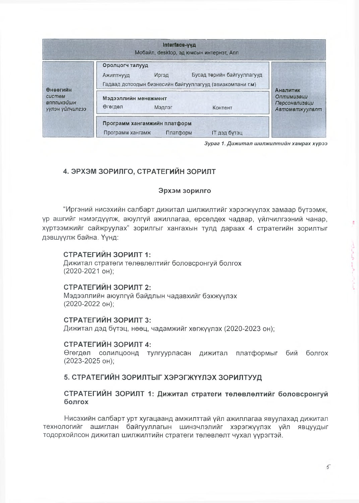|                                                            | Interface-ууд<br>Мобайл, desktop, эд юмсын интернэт, Апп                                                                                |                                                                  |
|------------------------------------------------------------|-----------------------------------------------------------------------------------------------------------------------------------------|------------------------------------------------------------------|
| <b>Өнөөгийн</b><br>систем<br>вппликэйшн<br>үүлэн үйлчилгээ | Оролцогч талууд<br>Бусад төрийн байгууллагууд<br>ДетаМ<br><b>Ажилтнууд</b><br>Гадаад дотоодын бизнесийн байгууллагууд (авиакомпани г.м) |                                                                  |
|                                                            | Мэдээллийн менежмент<br>Өгөгдөл<br>Мэдлэг<br>Контент                                                                                    | <b>Аналитик</b><br>Оптимизаци<br>Персонализаци<br>Автоматжуулалт |
|                                                            | Программ хангамжийн платформ<br>Платформ<br><b>IT дэд бүтэц</b><br>Программ хангамж                                                     |                                                                  |

Зураг 1. Дижитал шилжилтийн хамрах хүрээ

# 4. ЭРХЭМ ЗОРИЛГО, СТРАТЕГИЙН ЗОРИЛТ

## Эрхэм зорилго

"Иргэний нисэхийн салбарт дижитал шилжилтийг хэрэгжүүлэх замаар бүтээмж, үр ашгийг нэмэгдүүлж, аюулгүй ажиллагаа, өрсөлдөх чадвар, үйлчилгээний чанар, хүртээмжийг сайжруулах" зорилгыг хангахын тулд дараах 4 стратегийн зорилтыг дэвшүүлж байна. Үүнд:

## СТРАТЕГИЙН ЗОРИЛТ 1:

Дижитал стратеги телевлелтийг боловсронгуй болгох (2020-2021 он);

## СТРАТЕГИЙН ЗОРИЛТ 2:

Мэдээллийн аюулгүй байдлын чадавхийг бэхжүүлэх (2020-2022 он);

#### СТРАТЕГИЙН ЗОРИЛТ 3:

Дижитал дэд бүтэц, нөөц, чадамжийг хөгжүүлэх (2020-2023 он);

#### СТРАТЕГИЙН ЗОРИЛТ 4:

Өгөгдөл солилцоонд тулгуурласан дижитал платформыг бий болгох (2023-2025 он);

## 5. СТРАТЕГИЙН ЗОРИЛТЫГ ХЭРЭГЖҮҮЛЭХ ЗОРИЛТУУД

### СТРАТЕГИЙН ЗОРИЛТ 1: Дижитал стратеги төлөвлөлтийг боловсронгуй болгох

Нисэхийн салбарт урт хугацаанд амжилттай үйл ажиллагаа явуулахад дижитал технологийг ашиглан байгууллагын шинэчлэлийг хэрэгжүүлэх үйл явцуудыг тодорхойлсон дижитал шилжилтийн стратеги төлөвлөлт чухал үүрэгтэй.

ł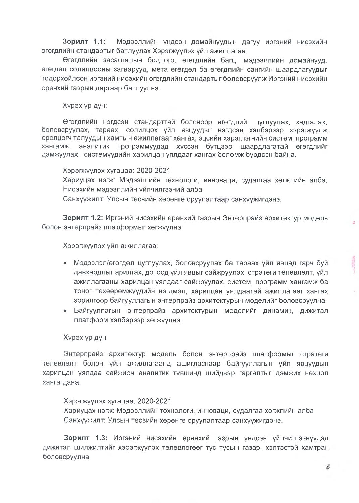Зорилт 1.1: Мэдээллийн үндсэн домайнуудын дагуу иргэний нисэхийн өгөгдлийн стандартыг батлуулах Хэрэгжүүлэх үйл ажиллагаа:

Өгөгдлийн засаглалын бодлого, өгөгдлийн багц, мэдээллийн домайнууд, өгөгдөл солилцооны загварууд, мета өгөгдөл ба өгөгдлийн сангийн шаардлагуудыг тодорхойлсон иргэний нисэхийн өгөгдлийн стандартыг боловсруулж Иргэний нисэхийн ерөнхий газрын даргаар батлуулна.

Хүрэх үр дүн:

Өгөгдлийн нэгдсэн стандарттай болсноор өгөгдлийг цуглуулах, хадгалах, боловсруулах, тараах, солилцох үйл явцуудыг нэгдсэн хэлбэрээр хэрэгжүүлж оролцогч талуудын хамтын ажиллагааг хангах, эцсийн хэрэглэгчийн систөм, программ хангамж, аналитик программуудад хүссэн бүтцээр шаардлагатай өгөгдлийг дамжуулах, системүүдийн харилцан уялдааг хангах боломж бүрдсэн байна.

Хэрэгжүүлэх хүгацаа: 2020-2021 Хариуцах нэгж: Мэдээллийн технологи, инноваци, судалгаа хөгжлийн алба, Нисэхийн мэдээллийн үйлчилгээний алба Санхүүжилт: Улсын төсвийн хөрөнгө оруулалтаар санхүүжигдэнэ.

Зорилт 1.2: Иргэний нисэхийн ерөнхий газрын Энтерпрайз архитектур модель болон энтөрпрайз платформыг хөгжүүлнэ

Хэрэгжүүлэх үйл ажиллагаа:

- Мэдээлэл/өгөгдөл цуглуулах, боловсруулах ба тараах үйл явцад гарч бүй давхардлыг арилгах, дотоод үйл явцыг сайжруулах, стратеги төлөвлөлт, үйл ажиллагааны харилцан уялдааг сайжруулах, систем, программ хангамж ба тоног төхөөрөмжүүдийн нэгдмэл, харилцан уялдаатай ажиллагааг хангах зорилгоор байгууллагын энтерпрайз архитектурын моделийг боловсруулна.
- Байгууллагын энтерпрайз архитектурын моделийг динамик, дижитал платформ хэлбэрээр хөгжүүлнэ.

## Хүрэх үр дүн:

Энтерпрайз архитөктүр модель болон энтөрпрайз платформыг стратеги төлөвлөлт болон үйл ажиллагаанд ашигласнаар байгууллагын үйл явцуудын харилцан уялдаа сайжирч аналитик түвшинд шийдвэр гаргалтыг дэмжих нөхцөл хангагдана.

#### Хэрэгжүүлэх хугацаа: 2020-2021

Хариуцах нэгж: Мэдээллийн төхнологи, инноваци, судалгаа хөгжлийн алба Санхүүжилт: Улсын төсвийн хөрөнгө оруулалтаар санхүүжигдэнэ.

Зорилт 1.3: Иргэний нисэхийн ерөнхий газрын үндсэн үйлчилгээнүүдэд дижитал шилжилтийг хэрэгжүүлэх төлөвлөгөөг тус тусын газар, хэлтэстэй хамтран боловсруулна

 $\mathcal{A}$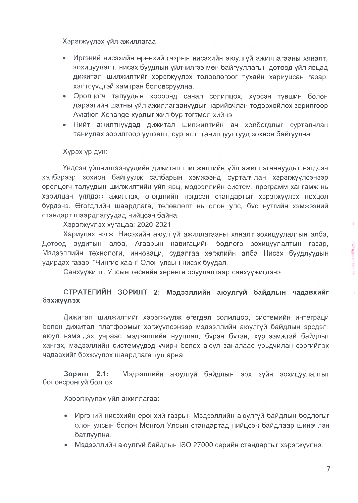Хэрэгжүүлэх үйл ажиллагаа:

- Иргэний нисэхийн ерөнхий газрын нисэхийн аюулгуй ажиллагааны хяналт. зохицуулалт, нисэх буудлын үйлчилгээ мөн байгууллагын дотоод үйл явцад дижитал шилжилтийг хэрэгжүүлэх төлөвлөгөөг тухайн хариуцсан газар, хэлтсүүдтэй хамтран боловсруулна;
- Оролцогч талуудын хооронд санал солилцох, хүрсэн түвшин болон дараагийн шатны үйл ажиллагаануудыг нарийвчлан тодорхойлох зорилгоор Aviation Xchange хурлыг жил бүр тогтмол хийнэ;
- Нийт ажилтнуудад дижитал шилжилтийн ач холбогдлыг сурталчлан таниулах зорилгоор уулзалт, сургалт, танилцуулгууд зохион байгуулна.

#### Хүрэх үр дүн:

Үндсэн үйлчилгээнүүдийн дижитал шилжилтийн үйл ажиллагаануудыг нэгдсэн хэлбэрээр зохион байгуулж салбарын хэмжээнд сурталчлан хэрэгжүүлсэнээр оролцогч талуудын шилжилтийн үйл явц, мэдээллийн систем, программ хангамж нь харилцан уялдаж ажиллах, өгөгдлийн нэгдсэн стандартыг хэрэгжүүлэх нөхцөл бүрдэнэ. Өгөгдлийн шаардлага, төлөвлөлт нь олон улс, бүс нүтгийн хэмжээний стандарт шаардлагуудад нийцсэн байна.

Хэрэгжүүлэх хугацаа: 2020-2021

Хариуцах нэгж: Нисэхийн аюулгүй ажиллагааны хяналт зохицуулалтын алба, Дотоод аудитын алба, Агаарын навигацийн бодлого зохицуулалтын газар, Мэдээллийн технологи, инноваци, судалгаа хөгжлийн алба Нисэх буудлуудын удирдах газар, "Чингис хаан" Олон улсын нисэх буудал.

Санхүүжилт: Улсын төсвийн хөрөнгө оруулалтаар санхүүжигдэнэ.

## СТРАТЕГИЙН ЗОРИЛТ 2: Мэдээллийн аюулгүй байдлын чадавхийг бэхжүүлэх

Дижитал шилжилтийг хэрэгжүүлж өгөгдөл солилцоо, системийн интеграци болон дижитал платформыг хөгжүүлсэнээр мэдээллийн аюулгүй байдлын эрсдэл, аюул нэмэгдэх учраас мэдээллийн нууцлал, бүрэн бүтэн, хүртээмжтэй байдлыг хангах, мэдээллийн системүүдэд учирч болох аюул заналаас урьдчилан сэргийлэх чадавхийг бэхжүүлэх шаардлага тулгарна.

Зорилт 2.1: Мэдээллийн аюулгүй байдлын эрх зүйн зохицуулалтыг боловсронгуй болгох

Хэрэгжүүлэх үйл ажиллагаа:

- Иргэний нисэхийн ерөнхий газрын Мэдээллийн аюулгүй байдлын бодлогыг олон улсын болон Монгол Улсын стандартад нийцсэн байдлаар шинэчлэн батлуулна.
- Мэдээллийн аюулгүй байдлын ISO 27000 серийн стандартыг хэрэгжүүлнэ.

 $\overline{\mathcal{L}}$ 

ś

 $\label{eq:4.1} \epsilon_{1} = \ell_{1} \cup \epsilon_{1} \in \mathbb{R} \oplus \mathbb{Z}^{\ast}.$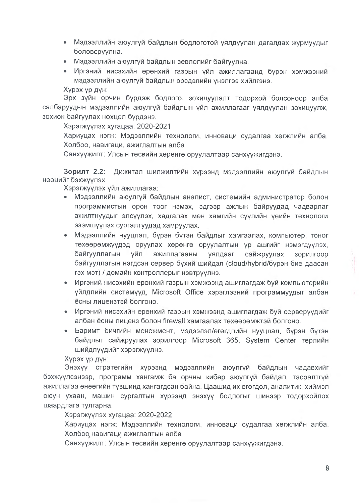- Мэдээллийн аюулгүй байдлын бодлоготой уялдуулан дагалдах журмуудыг боловсруулна.
- Мэдээллийн аюулгүй байдлын зевлөлийг байгуулна.
- Иргэний нисэхийн ерөнхий газрын үйл ажиллагаанд бүрэн хэмжээний мэдээллийн аюулгүй байдлын эрсдэлийн үнэлгээ хийлгэнэ. Хурэх ур дун:

Эрх зүйн орчин бүрдэж бодлого, зохицуулалт тодорхой болсоноор алба салбаруудын мэдээллийн аюулгүй байдлын үйл ажиллагааг уялдуулан зохицуулж, зохион байгуулах нөхцөл бүрдэнэ.

Хэрэгжүүлэх хүгацаа: 2020-2021

Хариуцах нэгж: Мэдээллийн технологи, инноваци судалгаа хөгжлийн алба, Холбоо, навигаци, ажиглалтын алба

Санхүүжилт: Улсын төсвийн хөрөнгө оруулалтаар санхүүжигдэнэ.

Зорилт 2.2: Дижитал шилжилтийн хүрээнд мэдээллийн аюулгуй байдлын нөөцийг бэхжүүлэх

Хэрэгжүүлэх үйл ажиллагаа:

- Мэдээллийн аюулгүй байдлын аналист, системийн администратор болон программистын орон тоог нэмэх, эдгээр ажлын байруудад чадварлаг ажилтнуудыг элсүүлэх, хадгалах мөн хамгийн сүүлийн үеийн технологи эзэмшүүлэх сургалтуудад хамруулах.
- Мэдээллийн нууцлал, бүрэн бүтэн байдлыг хамгаалах, компьютер, тоног төхөөрөмжүүдэд оруулах хөрөнгө оруулалтын үр ашгийг нэмэгдүүлэх, байгууллагын үйл ажиллагааны уялдааг сайжруулах зорилгоор байгууллагын нэгдсэн сервер бүхий шийдэл (cloud/hybrid/бурэн бие даасан гэх мэт) / домайн контроллерыг нэвтрүүлнэ.
- Иргэний нисэхийн ерөнхий газрын хэмжээнд ашиглагдаж буй компьютерийн үйлдлийн системүүд, Microsoft Office хэрэглээний программүүдыг албан есны лицензтэй болгоно.
- Иргэний нисэхийн ерөнхий газрын хэмжээнд ашиглагдаж бүй серверүүдийг албан ёсны лиценз болон firewall хамгаалах төхөөрөмжтэй болгоно.
- Баримт бичгийн менежмент, мэдээлэл/егөгдлийн нууцлал, бүрэн бүтэн байдлыг сайжруулах зорилгоор Microsoft 365, System Center төрлийн шийдлүүдийг хэрэгжүүлнэ.

Хүрэх үр дүн:

Энэхүү стратегийн хүрээнд мэдээллийн аюулгүй байдлын чадавхийг бэхжүүлсэнээр, программ хангамж ба орчны кибер аюулгүй байдал, тасралтгүй ажиллагаа өнеөгийн түвшинд хангагдсан байна. Цаашид их өгөгдөл, аналитик, хиймэл оюун ухаан, машин сургалтын хүрээнд энэхүү бодлогыг шинээр тодорхойлох шаардлага тулгарна.

Хэрэгжүүлэх хугацаа: 2020-2022

Хариуцах нэгж: Мэдээллийн технологи, инноваци судалгаа хөгжлийн алба, Холбоо навигаци ажиглалтын алба

Санхүүжилт: Улсын төсвийн хөрөнгө оруулалтаар санхүүжигдэнэ.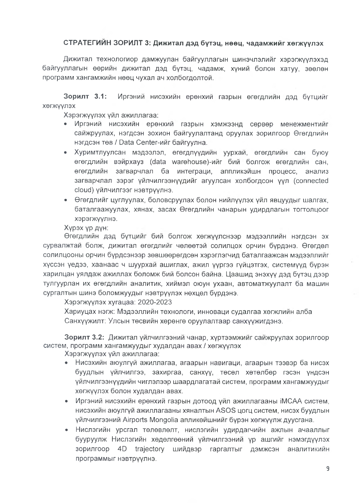# СТРАТЕГИЙН ЗОРИЛТ 3: Дижитал дэд бүтэц, нөөц, чадамжийг хөгжүүлэх

Дижитал технологиор дамжуулан байгууллагын шинэчлэлийг хэрэгжүүлэхэд байгууллагын өөрийн дижитал дэд бүтэц, чадамж, хүний болон хатуу, зөөлөн программ хангамжийн нөөц чухал ач холбогдолтой.

Зорилт 3.1: Иргэний нисэхийн ерөнхий газрын өгөгдлийн дэд бүтцийг ХӨГЖҮҮЛЭХ

Хэрэгжүүлэх үйл ажиллагаа:

- Иргэний нисэхийн ерөнхий газрын хэмжээнд сөрвөр менежментийг сайжруулах, нэгдсэн зохион байгуулалтанд оруулах зорилгоор Өгөгдлийн нэгдсэн төв / Data Center-ийг байгуулна.
- Хуримтлуулсан мэдээлэл, өгөгдлүүдийн уурхай, өгөгдлийн сан буюу өгөгдлийн вэйрхауз (data warehouse)-ийг бий болгож өгөгдлийн сан, өгөгдлийн загварчлал ба интеграци, аппликэйшн процесс, анализ загварчлал зэрэг үйлчилгээнүүдийг агуулсан холбогдсон үүл (connected cloud) үйлчилгээг нэвтрүүлнэ.
- Өгөгдлийг цуглуулах, боловсруулах болон нийлүүлэх үйл явцуудыг шалгах, баталгаажуулах, хянах, засах Өгөгдлийн чанарын удирдлагын тогтолцоог хэрэгжүүлнэ.

Хурэх ур дун:

Өгөгдлийн дэд бүтцийг бий болгож хөгжүүлснээр мэдээллийн нэгдсэн эх сурвалжтай болж, дижитал өгөгдлийг чөлөөтэй солилцох орчин бүрдэнэ. Өгөгдөл солилцооны орчин бүрдсэнээр зөвшөөрөгдсөн хэрэглэгчид баталгаажсан мэдээллийг хүссэн үедээ, хаанаас ч шуурхай ашиглах, ажил үүргээ гүйцэтгэх, системүүд бүрэн харилцан уялдаж ажиллах боломж бий болсон байна. Цаашид энэхүү дэд бүтэц дээр тулгуурлан их өгөгдлийн аналитик, хиймэл оюун ухаан, автоматжуулалт ба машин сургалтын шинэ боломжуудыг нэвтруулэх нөхцөл бурдэнэ.

Хэрэгжүүлэх хугацаа: 2020-2023

Хариуцах нэгж: Мэдээллийн төхнологи, инноваци судалгаа хөгжлийн алба Санхүүжилт: Улсын төсвийн хөрөнгө оруулалтаар санхүүжигдэнэ.

Зорилт 3.2: Дижитал үйлчилгээний чанар, хүртээмжийг сайжруулах зорилгоор систем, программ хангамжуудыг худалдан авах / хөгжүүлэх

Хэрэгжүүлэх үйл ажиллагаа:

- Нисэхийн аюулгүй ажиллагаа, агаарын навигаци, агаарын тээвэр ба нисэх буудлын үйлчилгээ, захиргаа, санхүү, төсөл хөтөлбөр гэсэн үндсэн үйлчилгээнүүдийн чиглэлээр шаардлагатай систем, программ хангамжүүдыг хөгжүүлэх болон худалдан авах.
- Иргэний нисэхийн ерөнхий газрын дотоод үйл ажиллагааны iMCAA систем, нисэхийн аюулгүй ажиллагааны хяналтын ASOS цогц систем, нисэх буудлын үйлчилгээний Airports Mongolia апликөйшнийг бүрэн хөгжүүлж дуусгана.
- Нислэгийн урсгал төлөвлөлт, нислэгийн удирдагчийн ажлын ачааллыг  $\bullet$ бууруулж Нислэгийн хөдөлгөөний үйлчилгээний үр ашгийг нэмэгдүүлэх зорилгоор 4D trajectory шийдвэр гаргалтыг дэмжсэн аналитикийн программыг нэвтрүүлнэ.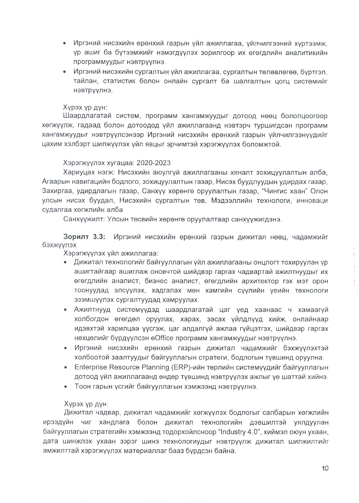- Иргэний нисэхийн ерөнхий газрын үйл ажиллагаа, үйлчилгээний хүртээмж, үр ашиг ба бүтээмжийг нэмэгдүүлэх зорилгоор их өгөгдлийн аналитикийн программуудыг нэвтруулнэ.
- Иргэний нисэхийн сургалтын үйл ажиллагаа, сургалтын төлөвлөгөө, буртгэл, тайлан, статистик болон онлайн сургалт ба шалгалтын цогц системийг нэвтруулнэ.

## Хурэх ур дун:

Шаардлагатай систем, программ хангамжуудыг дотоод нөөц бололцоогоор хөгжүүлж, гадаад болон дотоодод үйл ажиллагаанд нэвтэрч туршигдсан программ хангамжуудыг нэвтрүүлсэнээр Иргэний нисэхийн ерөнхий газрын үйлчилгээнүүдийг цахим хэлбэрт шилжүүлэх үйл явцыг эрчимтэй хэрэгжүүлэх боломжтой.

## Хэрэгжүүлэх хугацаа: 2020-2023

Хариуцах нэгж: Нисэхийн аюулгүй ажиллагааны хяналт зохицуулалтын алба. Агаарын навигацийн бодлого, зохицуулалтын газар, Нисэх буудлуудын удирдах газар, Захиргаа, удирдлагын газар, Санхүү хөрөнгө оруулалтын газар, "Чингис хаан" Олон улсын нисэх буудал, Нисэхийн сургалтын төв, Мэдээллийн технологи, инноваци судалгаа хөгжлийн алба

Санхүүжилт: Улсын төсвийн хөрөнгө оруулалтаар санхүүжигдэнэ.

Зорилт 3.3: Иргэний нисэхийн ерөнхий газрын дижитал нөөц, чадамжийг бэхжүүлэх

Хэрэгжүүлэх үйл ажиллагаа:

- Дижитал технологийг байгууллагын үйл ажиллагааны онцлогт тохируулан үр ашигтайгаар ашиглаж оновчтой шийдвэр гаргах чадвартай ажилтнуудыг их өгөгдлийн аналист, бизнес аналист, өгөгдлийн архитектор гэх мэт орон тоонуудад элсүүлэх, хадгалах мөн хамгийн сүүлийн үеийн төхнологи эзэмшүүлэх сургалтуудад хамруулах.
- Ажилтнууд системүүдэд шаардлагатай цаг үед хаанаас ч хамаагүй холбогдон өгөгдөл оруулах, харах, засах үйлдлүүд хийж, онлайнаар идэвхтэй харилцаа үүсгэж, цаг алдалгүй ажлаа гүйцэтгэх, шийдвэр гаргах нехцелийг бүрдүүлсэн eOffice программ хангамжуудыг нэвтрүүлнэ.
- $\bullet$ Иргэний нисэхийн ерөнхий газрын дижитал чадамжийг бэхжүүлэхтэй холбоотой заалтуудыг байгууллагын стратеги, бодлогын түвшинд оруулна.
- Enterprise Resource Planning (ERP)-ийн төрлийн системүүдийг байгууллагын дотоод үйл ажиллагаанд өндөр түвшинд нэвтрүүлэх ажлыг үе шаттай хийнэ.
- Тоон гарын үсгийг байгууллагын хэмжээнд нэвтрүүлнэ.

## Хурэх ур дун:

Дижитал чадвар, дижитал чадамжийг хөгжүүлэх бодлогыг салбарын хөгжлийн ирээдүйн чиг хандлага болон дижитал технологийн дэвшилтэй уялдуулан байгууллагын стратегийн хэмжээнд тодорхойлсноор "Industry 4.0", хиймэл оюун ухаан, дата шинжлэх ухаан зэрэг шинэ технологиудыг нэвтрүүлж дижитал шилжилтийг амжилттай хэрэгжүүлэх матөриаллаг бааз бүрдсэн байна.

 $\frac{1}{3}$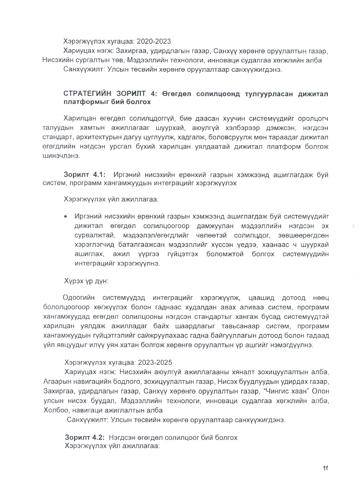### Хэрэгжүүлэх хүгацаа: 2020-2023

Хариуцах нэгж: Захиргаа, удирдлагын газар, Санхүү хөрөнгө оруулалтын газар, Нисэхийн сургалтын төв. Мэдээллийн технологи, инноваци судалгаа хөгжлийн алба Санхүүжилт: Улсын төсвийн хөрөнгө оруулалтаар санхүүжигдэнэ.

## СТРАТЕГИЙН ЗОРИЛТ 4: Өгөгдөл солилцоонд тулгуурласан дижитал платформыг бий болгох

Харилцан өгөгдөл солилцдоггүй, биө даасан хуучин системүүдийг оролцогч талуудын хамтын ажиллагааг шуурхай, аюулгуй хэлбэрээр дэмжсэн, нэгдсэн стандарт, архитектурын дагуу цуглуулж, хадгалж, боловсруулж мөн тараадаг дижитал өгөгдлийн нэгдсэн урсгал бүхий харилцан уялдаатай дижитал платформ болгож шинэчлэнэ.

Зорилт 4.1: Иргэний нисэхийн ерөнхий газрын хэмжээнд ашиглагдаж бүй систем, программ хангамжуудын интеграцийг хэрэгжүүлэх

Хэрэгжүүлэх үйл ажиллагаа:

Иргэний нисэхийн өрөнхий газрын хэмжээнд ашиглагдаж бүй системүүдийг дижитал өгөгдөл солилцоогоор дамжуулан мэдээллийн нэгдсэн эх сурвалжтай, мэдээлэл/өгөгдлийг чөлөөтэй солилцдог, зөвшөөрөгдсөн хэрэглэгчид баталгаажсан мэдээллийг хүссэн үедээ, хаанаас ч шуурхай ашиглах, ажил үүргээ гүйцэтгэх боломжтой болгох системүүдийн интеграцийг хэрэгжүүлнэ.

## Хүрэх үр дүн:

Одоогийн системүүдэд интеграцийг хэрэгжүүлж, цаашид дотоод нөөц бололцоогоор хөгжүүлэх болон гаднаас худалдан авах аливаа систем, программ хангамжуудад өгөгдөл солилцооны нэгдсэн стандартыг хангаж бусад системүүдтэй харилцан уялдаж ажилладаг байх шаардлагыг тавьсанаар систем, программ хангамжуудын гүйцэтгэлийг сайжруулахаас гадна байгууллагын дотоод болон гадаад үйл явцуудыг илүү уян хатан болгож хөрөнгө оруулалтын үр ашгийг нэмэгдүүлнэ.

## Хэрэгжүүлэх хугацаа: 2023-2025

Хариуцах нэгж: Нисэхийн аюулгүй ажиллагааны хяналт зохицуулалтын алба, Агаарын навигацийн бодлого, зохицуулалтын газар, Нисэх буудлуудын удирдах газар, Захиргаа, удирдлагын газар, Санхүү хөрөнгө оруулалтын газар, "Чингис хаан" Олон улсын нисэх буудал, Мэдээллийн технологи, инноваци судалгаа хөгжлийн алба, Холбоо, навигаци ажиглалтын алба

Санхүүжилт: Улсын төсвийн хөрөнгө оруулалтаар санхүүжигдэнэ.

Зорилт 4.2: Нэгдсэн өгөгдөл солилцоог бий болгох Хэрэгжүүлэх үйл ажиллагаа: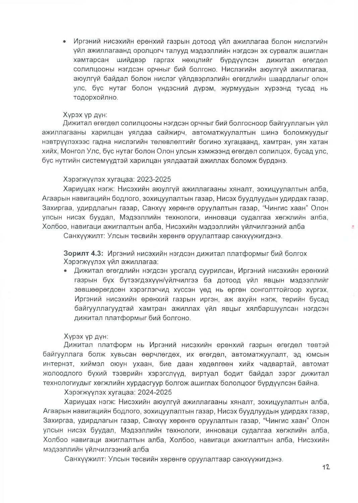• Иргэний нисэхийн ерөнхий газрын дотоод үйл ажиллагаа болон нислэгийн үйл ажиллагаанд оролцогч талууд мэдээллийн нэгдсэн эх сурвалж ашиглан хамтарсан шийдвэр гаргах нөхцлийг бүрдүүлсэн дижитал өгөгдөл солилцооны нэгдсэн орчныг бий болгоно. Нислэгийн аюулгуй ажиллагаа, аюулгүй байдал болон нислэг үйлдвэрлэлийн өгөгдлийн шаардлагыг олон улс, бус нутаг болон үндэсний дүрэм, журмуудын хүрээнд тусад нь тодорхойлно.

#### Уурэх ур дун:

Дижитал өгөгдөл солилцооны нэгдсэн орчныг бий болгосноор байгууллагын үйл ажиллагааны харилцан уялдаа сайжирч, автоматжуулалтын шинэ боломжуудыг нэвтрүүлэхээс гадна нислэгийн төлөвлөлтийг богино хугацаанд, хамтран, үян хатан хийх, Монгол Улс, бус нутаг болон Олон улсын хэмжээнд өгөгдөл солилцох, бусад улс, бус нутгийн системуудтэй харилцан уялдаатай ажиллах боломж бурдэнэ.

### Хэрэгжүүлэх хүгацаа: 2023-2025

Хариуцах нэгж: Нисэхийн аюулгүй ажиллагааны хяналт, зохицуулалтын алба, Агаарын навигацийн бодлого, зохицуулалтын газар, Нисэх буудлуудын удирдах газар, Захиргаа, удирдлагын газар, Санхүү хөрөнгө оруулалтын газар, "Чингис хаан" Олон улсын нисэх бүүдал, Мэдээллийн технологи, инноваци судалгаа хөгжлийн алба, Холбоо, навигаци ажиглалтын алба, Нисэхийн мэдээллийн үйлчилгээний алба

Санхүүжилт: Улсын төсвийн хөрөнгө оруулалтаар санхүүжигдэнэ.

Зорилт 4.3: Иргэний нисэхийн нэгдсэн дижитал платформыг бий болгох Хэрэгжүүлэх үйл ажиллагаа:

• Дижитал өгөгдлийн нэгдсэн урсгалд суурилсан, Иргэний нисэхийн ерөнхий газрын бүх бүтээгдэхүүн/үйлчилгээ ба дотоод үйл явцын мэдээллийг зөвшөөрөгдсөн хэрэглэгчид хуссэн уөд нь өргөн сонголттойгоор хургэх, Иргэний нисэхийн өрөнхий газрын иргэн, аж ахуйн нэгж, төрийн бусад байгүүллагуудтай хамтран ажиллах үйл явцыг хялбаршуулсан нэгдсэн дижитал платформыг бий болгоно.

#### Хурэх үр дүн:

Дижитал платформ нь Иргэний нисэхийн ерөнхий газрын өгөгдөл төвтэй байгууллага болж хувьсан өөрчлөгдөх, их өгөгдөл, автоматжуулалт, эд юмсын интернэт, хиймэл оюун ухаан, бие даан хөдөлгөөн хийх чадвартай, автомат жолоодлого бүхий тээврийн хэрэгслүүд, виртүал бодит байдал зэрэг дижитал технологиудыг хөгжлийн хурдасгуур болгож ашиглах бололцоог бүрдүүлсэн байна.

Хэрэгжүүлэх хүгацаа: 2024-2025

Хариуцах нэгж: Нисэхийн аюулгүй ажиллагааны хяналт, зохицуулалтын алба, Агаарын навигацийн бодлого, зохицуулалтын газар, Нисэх буудлуудын удирдах газар, Захиргаа, удирдлагын газар, Санхүү хөрөнгө оруулалтын газар, "Чингис хаан" Олон улсын нисэх буудал, Мэдээллийн төхнологи, инноваци судалгаа хөгжлийн алба, Холбоо навигаци ажиглалтын алба, Холбоо, навигаци ажиглалтын алба, Нисэхийн мэдээллийн үйлчилгээний алба

Санхүүжилт: Улсын төсвийн хөрөнгө оруулалтаар санхүүжигдэнэ.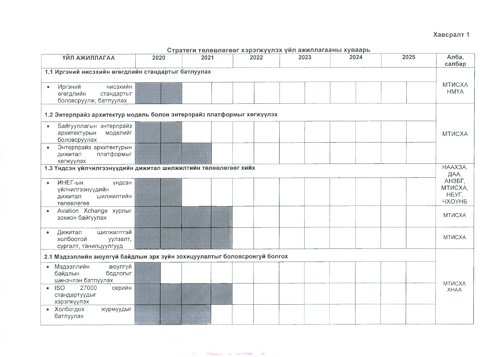## Хавсралт 1

| <b>ТИЛ АЖИЛЛАГАА</b>                                                                       | 2020 | 2021 | 2022 | 2023 | 2024 | 2025 | Алба,<br>салбар                      |  |  |  |
|--------------------------------------------------------------------------------------------|------|------|------|------|------|------|--------------------------------------|--|--|--|
| 1.1 Иргэний нисэхийн өгөгдлийн стандартыг батлуулах                                        |      |      |      |      |      |      |                                      |  |  |  |
| нисэхийн<br>Иргэний<br>өгөгдлийн<br>стандартыг<br>боловсруулж, батлуулах                   |      |      |      |      |      |      | <b>MTMCXA</b><br><b>HMYA</b>         |  |  |  |
| 1.2 Энтерпрайз архитектур модель болон энтерпрайз платформыг хөгжүүлэх                     |      |      |      |      |      |      |                                      |  |  |  |
| Байгууллагын энтерпрайз<br>архитектурын<br>моделийг<br>боловсруулах                        |      |      |      |      |      |      | <b>MTUCXA</b>                        |  |  |  |
| Энтерпрайз архитектурын<br>$\bullet$<br>платформыг<br>дижитал<br>хөгжүүлэх                 |      |      |      |      |      |      |                                      |  |  |  |
| 1.3 Үндсэн үйлчилгээнүүдийн дижитал шилжилтийн төлөвлөгөөг хийх                            |      |      |      |      |      |      | HAAX3A.<br>ДАА,                      |  |  |  |
| <b>ИНЕГ-ын</b><br>үндсэн<br>үйлчилгээнүүдийн<br><b>ШИЛЖИЛТИЙН</b><br>дижитал<br>телевлегее |      |      |      |      |      |      | АНЗБГ,<br>МТИСХА,<br>НБУГ.<br>ЧХОУНБ |  |  |  |
| Aviation Xchange хурлыг<br>$\bullet$<br>зохион байгуулах                                   |      |      |      |      |      |      | <b>MTUCXA</b>                        |  |  |  |
| Дижитал<br>ШИЛЖИЛТТЭЙ<br>холбоотой<br>уулзалт,<br>сургалт, танилцуулгууд                   |      |      |      |      |      |      | <b>MTUCXA</b>                        |  |  |  |
| 2.1 Мэдээллийн аюулгүй байдлын эрх зүйн зохицуулалтыг боловсронгуй болгох                  |      |      |      |      |      |      |                                      |  |  |  |
| • Мэдээллийн<br>аюулгүй<br>байдлын<br>бодлогыг<br>шинэчлэн батлуулах                       |      |      |      |      |      |      | МТИСХА                               |  |  |  |
| $\cdot$ ISO<br>27000<br>серийн<br>стандартуудыг<br>хэрэгжүүлэх                             |      |      |      |      |      |      | <b>XHAA</b>                          |  |  |  |
| • Холбогдох<br>журмуудыг<br>батлуулах                                                      |      |      |      |      |      |      |                                      |  |  |  |

#### Стратеги төлөвлөгөөг хэрэгжүүлэх үйл ажиллагааны хуваарь толоо тогоо тогоо тогоо тогоо тогоо тогоо тогоо тогоо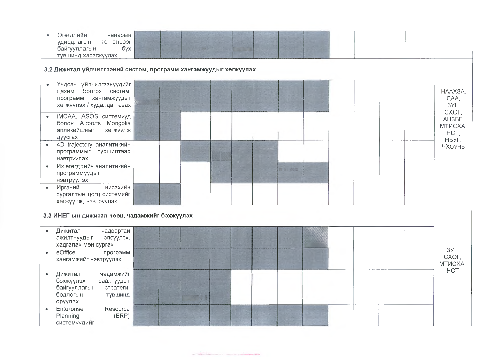| Өгөгдлийн<br>чанарын<br>удирдлагын<br>тогтолцоог<br>байгууллагын<br>бүх<br>түвшинд хэрэгжүүлэх                        |       |  |  |  |  |  |                                             |
|-----------------------------------------------------------------------------------------------------------------------|-------|--|--|--|--|--|---------------------------------------------|
| 3.2 Дижитал үйлчилгээний систем, программ хангамжуудыг хөгжүүлэх                                                      |       |  |  |  |  |  |                                             |
| Үндсэн үйлчилгээнүүдийг<br>$\bullet$<br>болгох систем,<br>цахим<br>программ хангамжуудыг<br>хөгжүүлэх / худалдан авах |       |  |  |  |  |  | HAAX3A,<br>ДАА,<br>3УГ,                     |
| iMCAA, ASOS системүүд<br>$\bullet$<br>болон Airports Mongolia<br>апликейшныг<br>хөгжүүлж<br>дуусгах                   |       |  |  |  |  |  | CXOF,<br>АНЗБГ,<br>MTMCXA,<br>HCT,<br>НБУГ, |
| 4D trajectory аналитикийн<br>программыг<br>туршилтаар<br>нэвтрүүлэх                                                   |       |  |  |  |  |  | ЧХОУНБ                                      |
| Их өгөгдлийн аналитикийн<br>программуудыг<br>нэвтрүүлэх                                                               |       |  |  |  |  |  |                                             |
| Иргэний<br>нисэхийн<br>$\bullet$<br>сургалтын цогц системийг<br>хөгжүүлж, нэвтрүүлэх                                  |       |  |  |  |  |  |                                             |
| 3.3 ИНЕГ-ын дижитал нөөц, чадамжийг бэхжүүлэх                                                                         |       |  |  |  |  |  |                                             |
| Дижитал<br>чадвартай<br>۰<br>ажилтнуудыг<br>элсүүлэх,<br>хадгалах мөн сургах                                          |       |  |  |  |  |  |                                             |
| eOffice<br>программ<br>$\bullet$<br>хангамжийг нэвтрүүлэх                                                             |       |  |  |  |  |  | ЗУГ,<br>CXOF,<br>MTUCXA,<br><b>HCT</b>      |
| Дижитал<br>чадамжийг<br>٠<br>бэхжүүлэх<br>заалтуудыг<br>байгууллагын<br>стратеги,<br>бодлогын<br>түвшинд<br>оруулах   |       |  |  |  |  |  |                                             |
| Enterprise<br>Resource<br>$\bullet$                                                                                   | (ERP) |  |  |  |  |  |                                             |